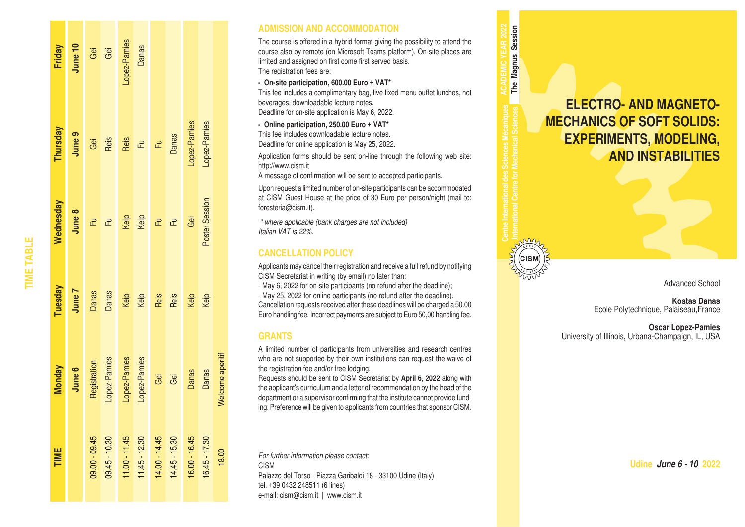| Friday        | June 10 |                | Gei<br>Gei                                        | Lopez-Pamies<br>Danas                        |                  |               |                 |                 |                 |                  |
|---------------|---------|----------------|---------------------------------------------------|----------------------------------------------|------------------|---------------|-----------------|-----------------|-----------------|------------------|
| Thursday      | June 9  |                | Gei<br>Reis                                       |                                              | $\frac{1}{2}$ Fu |               | Fu<br>Danas     | -opez-Pamies    | -opez-Pamies    |                  |
| Vednesday     | June 8  |                | $\mathbb{Z}^{\parallel}$ $\mathbb{Z}^{\parallel}$ |                                              | Keip<br>Keip     | 군             | $\vec{E}$       | Gei             | Poster Session  |                  |
| Tuesday       | Tenut   | Danas<br>Danas |                                                   |                                              | Keip<br>Keip     | Reis          | Reis            | Keip<br>Keip    |                 |                  |
| <b>Monday</b> | June 6  | Registration   |                                                   | Lopez-Pamies<br>Lopez-Pamies<br>Lopez-Pamies |                  | Gei           | Gei             | Danas           | Danas           | Welcome aperitif |
| TIME          |         | 09.00 - 09.45  | 09.45 - 10.30                                     | $11.00 - 11.45$                              | $11.45 - 12.30$  | 14.00 - 14.45 | $14.45 - 15.30$ | $16.00 - 16.45$ | $16.45 - 17.30$ | 18.00            |

**TIME TABLE**

**TIME TABLE** 

### **ADMISSION AND ACCOMMODATION**

The course is offered in a hybrid format giving the possibility to attend the course also by remote (on Microsoft Teams platform). On-site places are limited and assigned on first come first served basis. The registration fees are:

#### **- On-site participation, 600.00 Euro + VAT\***

This fee includes a complimentary bag, five fixed menu buffet lunches, hot beverages, downloadable lecture notes. Deadline for on-site application is May 6, 2022.

### **- Online participation, 250.00 Euro + VAT\***

This fee includes downloadable lecture notes. Deadline for online application is May 25, 2022.

Application forms should be sent on-line through the following web site: http://www.cism.it

A message of confirmation will be sent to accepted participants.

Upon request a limited number of on-site participants can be accommodated at CISM Guest House at the price of 30 Euro per person/night (mail to: foresteria@cism.it).

*\* where applicable (bank charges are not included) Italian VAT is 22%.*

### **CANCELLATION POLICY**

Applicants may cancel their registration and receive a full refund by notifying CISM Secretariat in writing (by email) no later than:

- May 6, 2022 for on-site participants (no refund after the deadline);

- May 25, 2022 for online participants (no refund after the deadline). Cancellation requests received after these deadlines will be charged a 50.00 Euro handling fee. Incorrect payments are subject to Euro 50,00 handling fee.

### **GRANTS**

A limited number of participants from universities and research centres who are not supported by their own institutions can request the waive of the registration fee and/or free lodging.

Requests should be sent to CISM Secretariat by **April 6**, **2022** along with the applicant's curriculum and a letter of recommendation by the head of the department or a supervisor confirming that the institute cannot provide fund ing. Preference will be given to applicants from countries that sponsor CISM.

*For further information please contact:* CISM Palazzo del Torso - Piazza Garibaldi 18 - 33100 Udine (Italy) tel. +39 0432 248511 (6 lines) e-mail: cism@cism.it | www.cism.it

**ELECTRO- AND MAGNETO-MECHANICS OF SOFT SOLIDS: EXPERIMENTS, MODELING, AND INSTABILITIES**

**International Centre for Mechanical Sciences**

₫

**ACADEMIC YEAR 2022 The Magnus Session**

The Magnus Session

Advanced School

**Kostas Danas** Ecole Polytechnique, Palaiseau,France

**Oscar Lopez-Pamies** University of Illinois, Urbana-Champaign, IL, USA

**Udine** *June 6 - 10* **2022**